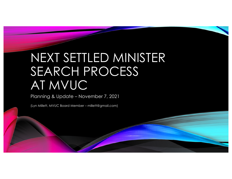# NEXT SETTLED MINISTER SEARCH PROCESS AT MVUC

Planning & Update – November 7, 2021

(Lyn Millett, MVUC Board Member – millett@gmail.com)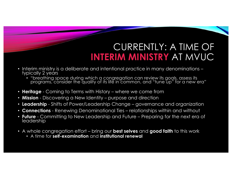### CURRENTLY: A TIME OF **INTERIM MINISTRY** AT MVUC

- Interim ministry is a deliberate and intentional practice in many denominations typically 2 years
	- "breathing space during which a congregation can review its goals, assess its programs, consider the quality of its life in common, and "tune up" for a new era"
- **Heritage** Coming to Terms with History where we come from
- **Mission** Discovering a New Identity purpose and direction
- **Leadership** Shifts of Power/Leadership Change governance and organization
- **Connections** Renewing Denominational Ties relationships within and without
- **Future** Committing to New Leadership and Future Preparing for the next era of leadership
- A whole congregation effort bring our **best selves** and **good faith** to this work
	- A time for **self-examination** and **institutional renewal**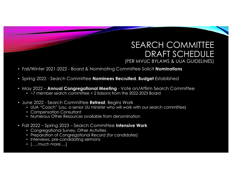#### SEARCH COMMITTEE DRAFT SCHEDULE (PER MVUC BYLAWS & UUA GUIDELINES)

- Fall/Winter 2021-2022 Board & Nominating Committee Solicit **Nominations**
- Spring 2022 Search Committee **Nominees Recruited**, **Budget** Established
- May 2022 **Annual Congregational Meeting** Vote on/Affirm Search Committee
	- ~7 member search committee + 2 liaisons from the 2022-2023 Board
- June 2022 Search Committee **Retreat**, Begins Work
	- UUA "Coach" (usu. a senior UU minister who will work with our search committee)
	- Compensation Consultant
	- Numerous Other Resources available from denomination
- Fall 2022 Spring 2023 Search Committee **Intensive Work**
	- Congregational Survey, Other Activities
	- Preparation of Congregational Record (for candidates)
	- Interviews, pre-candidating sermons
	- [.....much more....]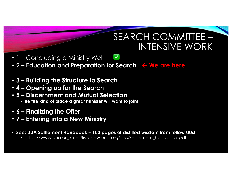#### SEARCH COMMITTEE – INTENSIVE WORK

- 1 Concluding a Ministry Well
- **2 Education and Preparation for Search**  $\leftarrow$  **We are here**
- **3 – Building the Structure to Search**
- **4 – Opening up for the Search**
- **5 – Discernment and Mutual Selection**
	- **Be the kind of place a great minister will want to join!**
- **6 – Finalizing the Offer**
- **7 – Entering into a New Ministry**
- **See: UUA Settlement Handbook – 100 pages of distilled wisdom from fellow UUs!**
	- https://www.uua.org/sites/live-new.uua.org/files/settlement\_handbook.pdf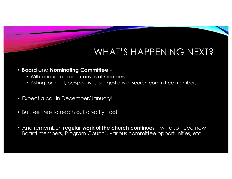## WHAT'S HAPPENING NEXT?

- **Board** and **Nominating Committee** 
	- Will conduct a broad canvas of members
	- Asking for input, perspectives, suggestions of search committee members
- Expect a call in December/January!
- But feel free to reach out directly, too!
- And remember: **regular work of the church continues** will also need new Board members, Program Council, various committee opportunities, etc.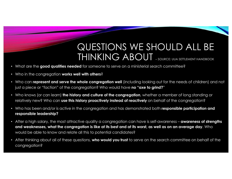#### QUESTIONS WE SHOULD ALL BE THINKING ABOUT – SOURCE: UUA SETTLEMENT HANDBOOK

- What are the **good qualities needed** for someone to serve on a ministerial search committee?
- Who in the congregation **works well with others**?
- Who can **represent and serve the whole congregation well** (including looking out for the needs of children) and not just a piece or "faction" of the congregation? Who would have **no "axe to grind?**"
- Who knows (or can learn) **the history and culture of the congregation**, whether a member of long standing or relatively new? Who can **use this history proactively instead of reactively** on behalf of the congregation?
- Who has been and/or is active in the congregation and has demonstrated both **responsible participation and responsible leadership?**
- After a high salary, the most attractive quality a congregation can have is self-awareness **awareness of strengths and weaknesses, what the congregation is like at its best and at its worst, as well as on an average day**. Who would be able to know and relate all this to potential candidates?
- After thinking about all of these questions, **who would you trust** to serve on the search committee on behalf of the congregation?